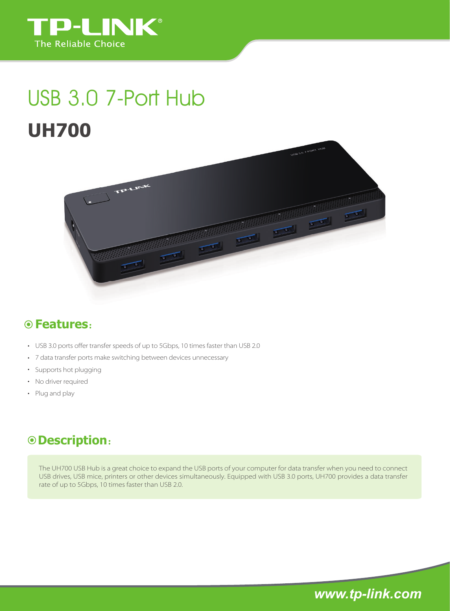

# **UH700** USB 3.0 7-Port Hub



### **Features**:

- USB 3.0 ports offer transfer speeds of up to 5Gbps, 10 times faster than USB 2.0
- 7 data transfer ports make switching between devices unnecessary
- Supports hot plugging
- No driver required
- Plug and play

#### **Description**:

The UH700 USB Hub is a great choice to expand the USB ports of your computer for data transfer when you need to connect USB drives, USB mice, printers or other devices simultaneously. Equipped with USB 3.0 ports, UH700 provides a data transfer rate of up to 5Gbps, 10 times faster than USB 2.0.

*www.tp-link.com*